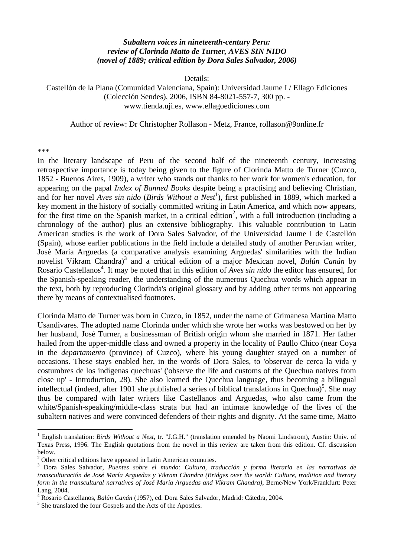## *Subaltern voices in nineteenth-century Peru: review of Clorinda Matto de Turner, AVES SIN NIDO (novel of 1889; critical edition by Dora Sales Salvador, 2006)*

Details:

Castellón de la Plana (Comunidad Valenciana, Spain): Universidad Jaume I / Ellago Ediciones (Colección Sendes), 2006, ISBN 84-8021-557-7, 300 pp. www.tienda.uji.es, www.ellagoediciones.com

Author of review: Dr Christopher Rollason - Metz, France, rollason@9online.fr

## \*\*\*

1

In the literary landscape of Peru of the second half of the nineteenth century, increasing retrospective importance is today being given to the figure of Clorinda Matto de Turner (Cuzco, 1852 - Buenos Aires, 1909), a writer who stands out thanks to her work for women's education, for appearing on the papal *Index of Banned Books* despite being a practising and believing Christian, and for her novel *Aves sin nido* (*Birds Without a Nest<sup>1</sup>*), first published in 1889, which marked a key moment in the history of socially committed writing in Latin America, and which now appears, for the first time on the Spanish market, in a critical edition<sup>2</sup>, with a full introduction (including a chronology of the author) plus an extensive bibliography. This valuable contribution to Latin American studies is the work of Dora Sales Salvador, of the Universidad Jaume I de Castellón (Spain), whose earlier publications in the field include a detailed study of another Peruvian writer, José María Arguedas (a comparative analysis examining Arguedas' similarities with the Indian novelist Vikram Chandra)<sup>3</sup> and a critical edition of a major Mexican novel, *Balún Canán* by Rosario Castellanos<sup>4</sup>. It may be noted that in this edition of *Aves sin nido* the editor has ensured, for the Spanish-speaking reader, the understanding of the numerous Quechua words which appear in the text, both by reproducing Clorinda's original glossary and by adding other terms not appearing there by means of contextualised footnotes.

Clorinda Matto de Turner was born in Cuzco, in 1852, under the name of Grimanesa Martina Matto Usandivares. The adopted name Clorinda under which she wrote her works was bestowed on her by her husband, José Turner, a businessman of British origin whom she married in 1871. Her father hailed from the upper-middle class and owned a property in the locality of Paullo Chico (near Coya in the *departamento* (province) of Cuzco), where his young daughter stayed on a number of occasions. These stays enabled her, in the words of Dora Sales, to 'observar de cerca la vida y costumbres de los indígenas quechuas' ('observe the life and customs of the Quechua natives from close up' - Introduction, 28). She also learned the Quechua language, thus becoming a bilingual intellectual (indeed, after 1901 she published a series of biblical translations in Quechua)<sup>5</sup>. She may thus be compared with later writers like Castellanos and Arguedas, who also came from the white/Spanish-speaking/middle-class strata but had an intimate knowledge of the lives of the subaltern natives and were convinced defenders of their rights and dignity. At the same time, Matto

<sup>&</sup>lt;sup>1</sup> English translation: *Birds Without a Nest*, tr. "J.G.H." (translation emended by Naomi Lindstrom), Austin: Univ. of Texas Press, 1996. The English quotations from the novel in this review are taken from this edition. Cf. discussion below.

 $2$  Other critical editions have appeared in Latin American countries.

<sup>3</sup> Dora Sales Salvador, *Puentes sobre el mundo: Cultura, traducción y forma literaria en las narrativas de transculturación de José María Arguedas y Vikram Chandra (Bridges over the world: Culture, tradition and literary form in the transcultural narratives of José María Arguedas and Vikram Chandra)*, Berne/New York/Frankfurt: Peter Lang, 2004.

<sup>&</sup>lt;sup>4</sup> Rosario Castellanos, *Balún Canán* (1957), ed. Dora Sales Salvador, Madrid: Cátedra, 2004.<br><sup>5</sup> She translated the four Gospels and the Acts of the Apostles.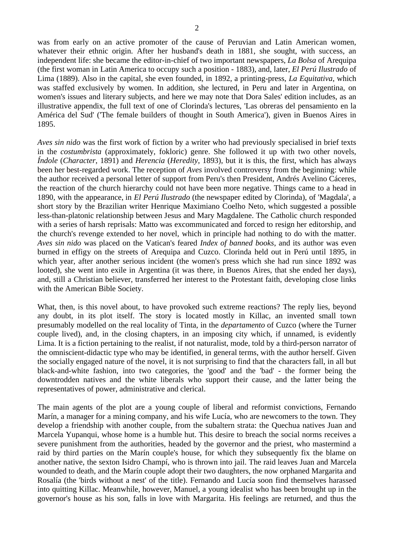was from early on an active promoter of the cause of Peruvian and Latin American women, whatever their ethnic origin. After her husband's death in 1881, she sought, with success, an independent life: she became the editor-in-chief of two important newspapers, *La Bolsa* of Arequipa (the first woman in Latin America to occupy such a position - 1883), and, later, *El Perú Ilustrado* of Lima (1889). Also in the capital, she even founded, in 1892, a printing-press, *La Equitativa*, which was staffed exclusively by women. In addition, she lectured, in Peru and later in Argentina, on women's issues and literary subjects, and here we may note that Dora Sales' edition includes, as an illustrative appendix, the full text of one of Clorinda's lectures, 'Las obreras del pensamiento en la América del Sud' ('The female builders of thought in South America'), given in Buenos Aires in 1895.

*Aves sin nido* was the first work of fiction by a writer who had previously specialised in brief texts in the *costumbrista* (approximately, fokloric) genre. She followed it up with two other novels, *Índole* (*Character*, 1891) and *Herencia* (*Heredity*, 1893), but it is this, the first, which has always been her best-regarded work. The reception of *Aves* involved controversy from the beginning: while the author received a personal letter of support from Peru's then President, Andrés Avelino Cáceres, the reaction of the church hierarchy could not have been more negative. Things came to a head in 1890, with the appearance, in *El Perú Ilustrado* (the newspaper edited by Clorinda), of 'Magdala', a short story by the Brazilian writer Henrique Maximiano Coelho Neto, which suggested a possible less-than-platonic relationship between Jesus and Mary Magdalene. The Catholic church responded with a series of harsh reprisals: Matto was excommunicated and forced to resign her editorship, and the church's revenge extended to her novel, which in principle had nothing to do with the matter. *Aves sin nido* was placed on the Vatican's feared *Index of banned books*, and its author was even burned in effigy on the streets of Arequipa and Cuzco. Clorinda held out in Perú until 1895, in which year, after another serious incident (the women's press which she had run since 1892 was looted), she went into exile in Argentina (it was there, in Buenos Aires, that she ended her days), and, still a Christian believer, transferred her interest to the Protestant faith, developing close links with the American Bible Society.

What, then, is this novel about, to have provoked such extreme reactions? The reply lies, beyond any doubt, in its plot itself. The story is located mostly in Killac, an invented small town presumably modelled on the real locality of Tinta, in the *departamento* of Cuzco (where the Turner couple lived), and, in the closing chapters, in an imposing city which, if unnamed, is evidently Lima. It is a fiction pertaining to the realist, if not naturalist, mode, told by a third-person narrator of the omniscient-didactic type who may be identified, in general terms, with the author herself. Given the socially engaged nature of the novel, it is not surprising to find that the characters fall, in all but black-and-white fashion, into two categories, the 'good' and the 'bad' - the former being the downtrodden natives and the white liberals who support their cause, and the latter being the representatives of power, administrative and clerical.

The main agents of the plot are a young couple of liberal and reformist convictions, Fernando Marín, a manager for a mining company, and his wife Lucía, who are newcomers to the town. They develop a friendship with another couple, from the subaltern strata: the Quechua natives Juan and Marcela Yupanqui, whose home is a humble hut. This desire to breach the social norms receives a severe punishment from the authorities, headed by the governor and the priest, who mastermind a raid by third parties on the Marín couple's house, for which they subsequently fix the blame on another native, the sexton Isidro Champí, who is thrown into jail. The raid leaves Juan and Marcela wounded to death, and the Marín couple adopt their two daughters, the now orphaned Margarita and Rosalía (the 'birds without a nest' of the title). Fernando and Lucía soon find themselves harassed into quitting Killac. Meanwhile, however, Manuel, a young idealist who has been brought up in the governor's house as his son, falls in love with Margarita. His feelings are returned, and thus the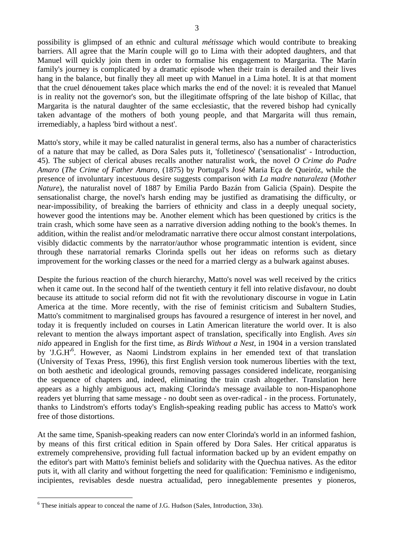possibility is glimpsed of an ethnic and cultural *métissage* which would contribute to breaking barriers. All agree that the Marín couple will go to Lima with their adopted daughters, and that Manuel will quickly join them in order to formalise his engagement to Margarita. The Marín family's journey is complicated by a dramatic episode when their train is derailed and their lives hang in the balance, but finally they all meet up with Manuel in a Lima hotel. It is at that moment that the cruel dénouement takes place which marks the end of the novel: it is revealed that Manuel is in reality not the governor's son, but the illegitimate offspring of the late bishop of Killac, that Margarita is the natural daughter of the same ecclesiastic, that the revered bishop had cynically taken advantage of the mothers of both young people, and that Margarita will thus remain, irremediably, a hapless 'bird without a nest'.

Matto's story, while it may be called naturalist in general terms, also has a number of characteristics of a nature that may be called, as Dora Sales puts it, 'folletinesco' ('sensationalist' - Introduction, 45). The subject of clerical abuses recalls another naturalist work, the novel *O Crime do Padre Amaro* (*The Crime of Father Amaro*, (1875) by Portugal's José Maria Eça de Queiróz, while the presence of involuntary incestuous desire suggests comparison with *La madre naturaleza* (*Mother Nature*), the naturalist novel of 1887 by Emilia Pardo Bazán from Galicia (Spain). Despite the sensationalist charge, the novel's harsh ending may be justified as dramatising the difficulty, or near-impossibility, of breaking the barriers of ethnicity and class in a deeply unequal society, however good the intentions may be. Another element which has been questioned by critics is the train crash, which some have seen as a narrative diversion adding nothing to the book's themes. In addition, within the realist and/or melodramatic narrative there occur almost constant interpolations, visibly didactic comments by the narrator/author whose programmatic intention is evident, since through these narratorial remarks Clorinda spells out her ideas on reforms such as dietary improvement for the working classes or the need for a married clergy as a bulwark against abuses.

Despite the furious reaction of the church hierarchy, Matto's novel was well received by the critics when it came out. In the second half of the twentieth century it fell into relative disfavour, no doubt because its attitude to social reform did not fit with the revolutionary discourse in vogue in Latin America at the time. More recently, with the rise of feminist criticism and Subaltern Studies, Matto's commitment to marginalised groups has favoured a resurgence of interest in her novel, and today it is frequently included on courses in Latin American literature the world over. It is also relevant to mention the always important aspect of translation, specifically into English. *Aves sin nido* appeared in English for the first time, as *Birds Without a Nest*, in 1904 in a version translated by 'J.G.H<sup>'6</sup>. However, as Naomi Lindstrom explains in her emended text of that translation (University of Texas Press, 1996), this first English version took numerous liberties with the text, on both aesthetic and ideological grounds, removing passages considered indelicate, reorganising the sequence of chapters and, indeed, eliminating the train crash altogether. Translation here appears as a highly ambiguous act, making Clorinda's message available to non-Hispanophone readers yet blurring that same message - no doubt seen as over-radical - in the process. Fortunately, thanks to Lindstrom's efforts today's English-speaking reading public has access to Matto's work free of those distortions.

At the same time, Spanish-speaking readers can now enter Clorinda's world in an informed fashion, by means of this first critical edition in Spain offered by Dora Sales. Her critical apparatus is extremely comprehensive, providing full factual information backed up by an evident empathy on the editor's part with Matto's feminist beliefs and solidarity with the Quechua natives. As the editor puts it, with all clarity and without forgetting the need for qualification: 'Feminismo e indigenismo, incipientes, revisables desde nuestra actualidad, pero innegablemente presentes y pioneros,

1

 $6$  These initials appear to conceal the name of J.G. Hudson (Sales, Introduction, 33n).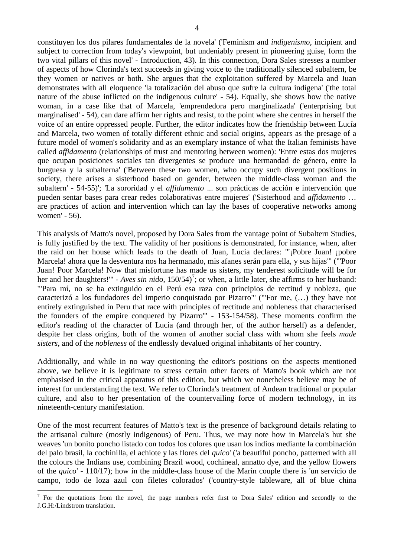constituyen los dos pilares fundamentales de la novela' ('Feminism and *indigenismo*, incipient and subject to correction from today's viewpoint, but undeniably present in pioneering guise, form the two vital pillars of this novel' - Introduction, 43). In this connection, Dora Sales stresses a number of aspects of how Clorinda's text succeeds in giving voice to the traditionally silenced subaltern, be they women or natives or both. She argues that the exploitation suffered by Marcela and Juan demonstrates with all eloquence 'la totalización del abuso que sufre la cultura indígena' ('the total nature of the abuse inflicted on the indigenous culture' - 54). Equally, she shows how the native woman, in a case like that of Marcela, 'emprendedora pero marginalizada' ('enterprising but marginalised' - 54), can dare affirm her rights and resist, to the point where she centres in herself the voice of an entire oppressed people. Further, the editor indicates how the friendship between Lucía and Marcela, two women of totally different ethnic and social origins, appears as the presage of a future model of women's solidarity and as an exemplary instance of what the Italian feminists have called *affidamento* (relationships of trust and mentoring between women): 'Entre estas dos mujeres que ocupan posiciones sociales tan divergentes se produce una hermandad de género, entre la burguesa y la subalterna' ('Between these two women, who occupy such divergent positions in society, there arises a sisterhood based on gender, between the middle-class woman and the subaltern' - 54-55)'; 'La sororidad y el *affidamento* ... son prácticas de acción e intervención que pueden sentar bases para crear redes colaborativas entre mujeres' ('Sisterhood and *affidamento* … are practices of action and intervention which can lay the bases of cooperative networks among women' - 56).

This analysis of Matto's novel, proposed by Dora Sales from the vantage point of Subaltern Studies, is fully justified by the text. The validity of her positions is demonstrated, for instance, when, after the raid on her house which leads to the death of Juan, Lucía declares: '"¡Pobre Juan! ¡pobre Marcela! ahora que la desventura nos ha hermanado, mis afanes serán para ella, y sus hijas"' ("'Poor Juan! Poor Marcela! Now that misfortune has made us sisters, my tenderest solicitude will be for her and her daughters!" - *Aves sin nido*,  $150/54$ <sup>7</sup>; or when, a little later, she affirms to her husband: '"Para mí, no se ha extinguido en el Perú esa raza con principios de rectitud y nobleza, que caracterizó a los fundadores del imperio conquistado por Pizarro"' ("'For me, (…) they have not entirely extinguished in Peru that race with principles of rectitude and nobleness that characterised the founders of the empire conquered by Pizarro'" - 153-154/58). These moments confirm the editor's reading of the character of Lucía (and through her, of the author herself) as a defender, despite her class origins, both of the women of another social class with whom she feels *made sisters*, and of the *nobleness* of the endlessly devalued original inhabitants of her country.

Additionally, and while in no way questioning the editor's positions on the aspects mentioned above, we believe it is legitimate to stress certain other facets of Matto's book which are not emphasised in the critical apparatus of this edition, but which we nonetheless believe may be of interest for understanding the text. We refer to Clorinda's treatment of Andean traditional or popular culture, and also to her presentation of the countervailing force of modern technology, in its nineteenth-century manifestation.

One of the most recurrent features of Matto's text is the presence of background details relating to the artisanal culture (mostly indigenous) of Peru. Thus, we may note how in Marcela's hut she weaves 'un bonito poncho listado con todos los colores que usan los indios mediante la combinación del palo brasil, la cochinilla, el achiote y las flores del *quico*' ('a beautiful poncho, patterned with all the colours the Indians use, combining Brazil wood, cochineal, annatto dye, and the yellow flowers of the *quico*' - 110/17); how in the middle-class house of the Marín couple there is 'un servicio de campo, todo de loza azul con filetes colorados' ('country-style tableware, all of blue china

1

 $<sup>7</sup>$  For the quotations from the novel, the page numbers refer first to Dora Sales' edition and secondly to the</sup> J.G.H:/Lindstrom translation.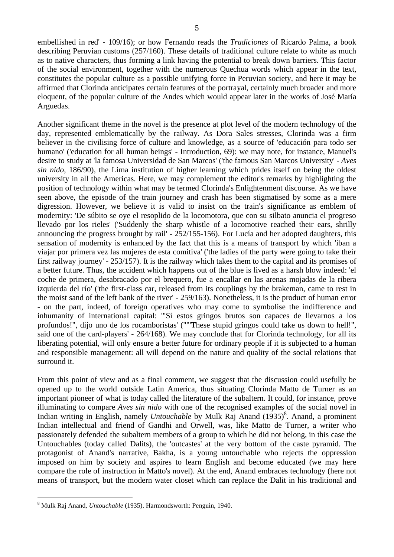5

embellished in red' - 109/16); or how Fernando reads the *Tradiciones* of Ricardo Palma, a book describing Peruvian customs (257/160). These details of traditional culture relate to white as much as to native characters, thus forming a link having the potential to break down barriers. This factor of the social environment, together with the numerous Quechua words which appear in the text, constitutes the popular culture as a possible unifying force in Peruvian society, and here it may be affirmed that Clorinda anticipates certain features of the portrayal, certainly much broader and more eloquent, of the popular culture of the Andes which would appear later in the works of José María Arguedas.

Another significant theme in the novel is the presence at plot level of the modern technology of the day, represented emblematically by the railway. As Dora Sales stresses, Clorinda was a firm believer in the civilising force of culture and knowledge, as a source of 'educación para todo ser humano' ('education for all human beings' - Introduction, 69): we may note, for instance, Manuel's desire to study at 'la famosa Universidad de San Marcos' ('the famous San Marcos University' - *Aves sin nido*, 186/90), the Lima institution of higher learning which prides itself on being the oldest university in all the Americas. Here, we may complement the editor's remarks by highlighting the position of technology within what may be termed Clorinda's Enlightenment discourse. As we have seen above, the episode of the train journey and crash has been stigmatised by some as a mere digression. However, we believe it is valid to insist on the train's significance as emblem of modernity: 'De súbito se oye el resoplido de la locomotora, que con su silbato anuncia el progreso llevado por los rieles' ('Suddenly the sharp whistle of a locomotive reached their ears, shrilly announcing the progress brought by rail' - 252/155-156). For Lucía and her adopted daughters, this sensation of modernity is enhanced by the fact that this is a means of transport by which 'iban a viajar por primera vez las mujeres de esta comitiva' ('the ladies of the party were going to take their first railway journey' - 253/157). It is the railway which takes them to the capital and its promises of a better future. Thus, the accident which happens out of the blue is lived as a harsh blow indeed: 'el coche de primera, desabracado por el brequero, fue a encallar en las arenas mojadas de la ribera izquierda del río' ('the first-class car, released from its couplings by the brakeman, came to rest in the moist sand of the left bank of the river' - 259/163). Nonetheless, it is the product of human error - on the part, indeed, of foreign operatives who may come to symbolise the indifference and inhumanity of international capital: '"Sí estos gringos brutos son capaces de llevarnos a los profundos!", dijo uno de los rocamboristas' (""'These stupid gringos could take us down to hell!", said one of the card-players' - 264/168). We may conclude that for Clorinda technology, for all its liberating potential, will only ensure a better future for ordinary people if it is subjected to a human and responsible management: all will depend on the nature and quality of the social relations that surround it.

From this point of view and as a final comment, we suggest that the discussion could usefully be opened up to the world outside Latin America, thus situating Clorinda Matto de Turner as an important pioneer of what is today called the literature of the subaltern. It could, for instance, prove illuminating to compare *Aves sin nido* with one of the recognised examples of the social novel in Indian writing in English, namely *Untouchable* by Mulk Raj Anand (1935)<sup>8</sup>. Anand, a prominent Indian intellectual and friend of Gandhi and Orwell, was, like Matto de Turner, a writer who passionately defended the subaltern members of a group to which he did not belong, in this case the Untouchables (today called Dalits), the 'outcastes' at the very bottom of the caste pyramid. The protagonist of Anand's narrative, Bakha, is a young untouchable who rejects the oppression imposed on him by society and aspires to learn English and become educated (we may here compare the role of instruction in Matto's novel). At the end, Anand embraces technology (here not means of transport, but the modern water closet which can replace the Dalit in his traditional and

1

<sup>8</sup> Mulk Raj Anand, *Untouchable* (1935). Harmondsworth: Penguin, 1940.